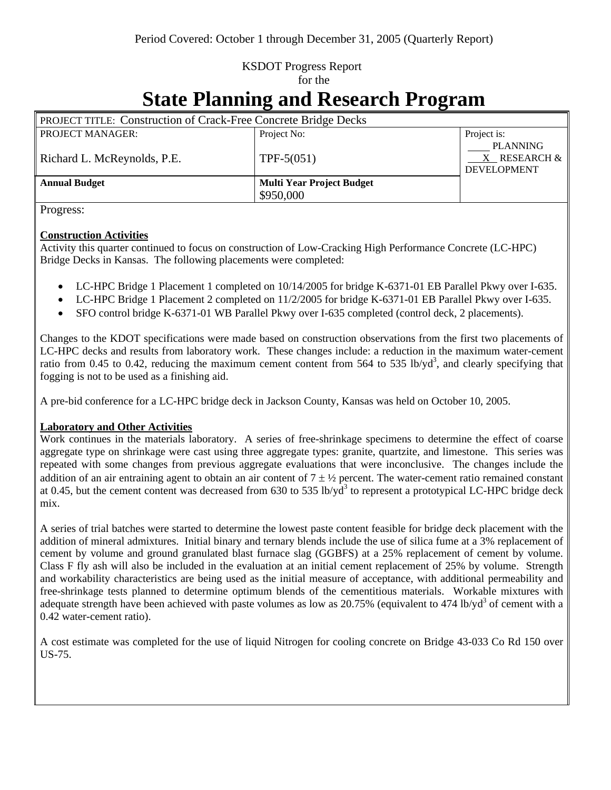# KSDOT Progress Report for the

# **State Planning and Research Program**

| <b>PROJECT TITLE: Construction of Crack-Free Concrete Bridge Decks</b> |                                  |                                                            |
|------------------------------------------------------------------------|----------------------------------|------------------------------------------------------------|
| <b>PROJECT MANAGER:</b>                                                | Project No:                      | Project is:                                                |
| Richard L. McReynolds, P.E.                                            | TPF- $5(051)$                    | <b>PLANNING</b><br>$X$ RESEARCH $\&$<br><b>DEVELOPMENT</b> |
| <b>Annual Budget</b>                                                   | <b>Multi Year Project Budget</b> |                                                            |
|                                                                        | \$950,000                        |                                                            |

Progress:

## **Construction Activities**

Activity this quarter continued to focus on construction of Low-Cracking High Performance Concrete (LC-HPC) Bridge Decks in Kansas. The following placements were completed:

- LC-HPC Bridge 1 Placement 1 completed on  $10/14/2005$  for bridge K-6371-01 EB Parallel Pkwy over I-635.
- LC-HPC Bridge 1 Placement 2 completed on  $11/2/2005$  for bridge K-6371-01 EB Parallel Pkwy over I-635.
- SFO control bridge K-6371-01 WB Parallel Pkwy over I-635 completed (control deck, 2 placements).

Changes to the KDOT specifications were made based on construction observations from the first two placements of LC-HPC decks and results from laboratory work. These changes include: a reduction in the maximum water-cement ratio from 0.45 to 0.42, reducing the maximum cement content from 564 to 535 lb/yd<sup>3</sup>, and clearly specifying that fogging is not to be used as a finishing aid.

A pre-bid conference for a LC-HPC bridge deck in Jackson County, Kansas was held on October 10, 2005.

### **Laboratory and Other Activities**

Work continues in the materials laboratory. A series of free-shrinkage specimens to determine the effect of coarse aggregate type on shrinkage were cast using three aggregate types: granite, quartzite, and limestone. This series was repeated with some changes from previous aggregate evaluations that were inconclusive. The changes include the addition of an air entraining agent to obtain an air content of  $7 \pm \frac{1}{2}$  percent. The water-cement ratio remained constant at 0.45, but the cement content was decreased from 630 to 535 lb/y $\tilde{d}^3$  to represent a prototypical LC-HPC bridge deck mix.

A series of trial batches were started to determine the lowest paste content feasible for bridge deck placement with the addition of mineral admixtures. Initial binary and ternary blends include the use of silica fume at a 3% replacement of cement by volume and ground granulated blast furnace slag (GGBFS) at a 25% replacement of cement by volume. Class F fly ash will also be included in the evaluation at an initial cement replacement of 25% by volume. Strength and workability characteristics are being used as the initial measure of acceptance, with additional permeability and free-shrinkage tests planned to determine optimum blends of the cementitious materials. Workable mixtures with adequate strength have been achieved with paste volumes as low as 20.75% (equivalent to 474 lb/yd<sup>3</sup> of cement with a 0.42 water-cement ratio).

A cost estimate was completed for the use of liquid Nitrogen for cooling concrete on Bridge 43-033 Co Rd 150 over US-75.